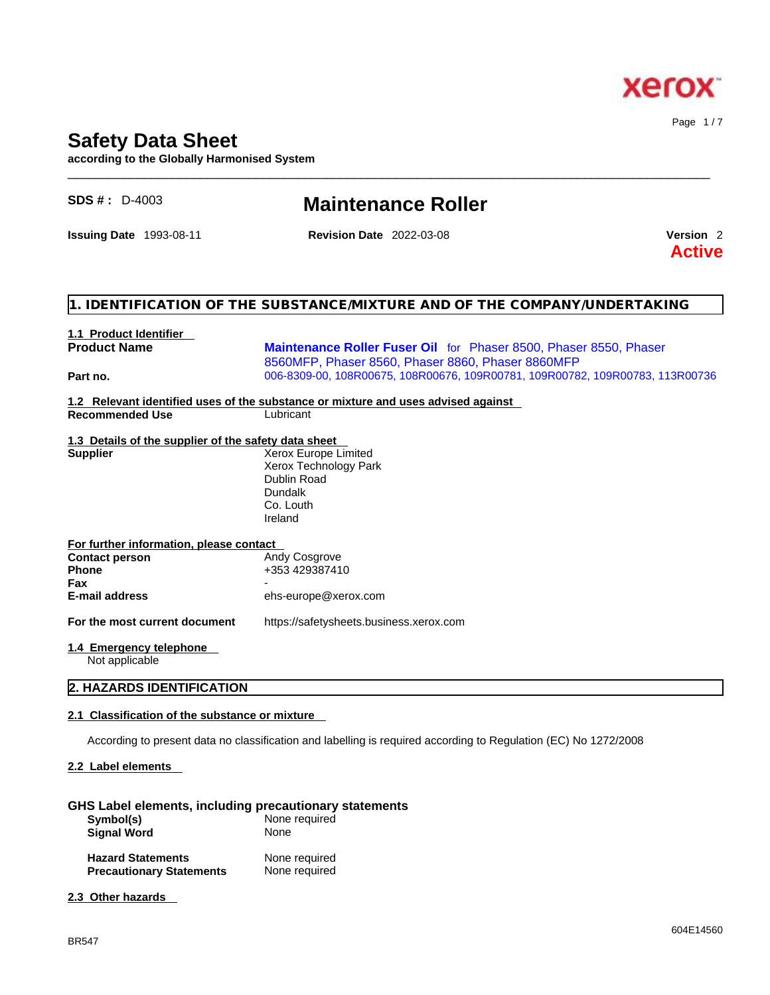

# **Safety Data Sheet**

**according to the Globally Harmonised System**

| <b>SDS #: D-4003</b>                                 | <b>Maintenance Roller</b>                                                                                              |                                       |
|------------------------------------------------------|------------------------------------------------------------------------------------------------------------------------|---------------------------------------|
| <b>Issuing Date 1993-08-11</b>                       | <b>Revision Date 2022-03-08</b>                                                                                        | Version <sub>2</sub><br><b>Active</b> |
|                                                      | 1. IDENTIFICATION OF THE SUBSTANCE/MIXTURE AND OF THE COMPANY/UNDERTAKING                                              |                                       |
| 1.1 Product Identifier                               |                                                                                                                        |                                       |
| <b>Product Name</b>                                  | Maintenance Roller Fuser Oil for Phaser 8500, Phaser 8550, Phaser<br>8560MFP, Phaser 8560, Phaser 8860, Phaser 8860MFP |                                       |
| Part no.                                             | 006-8309-00, 108R00675, 108R00676, 109R00781, 109R00782, 109R00783, 113R00736                                          |                                       |
|                                                      | 1.2 Relevant identified uses of the substance or mixture and uses advised against                                      |                                       |
| <b>Recommended Use</b>                               | Lubricant                                                                                                              |                                       |
| 1.3 Details of the supplier of the safety data sheet |                                                                                                                        |                                       |
| <b>Supplier</b>                                      | Xerox Europe Limited                                                                                                   |                                       |
|                                                      | Xerox Technology Park                                                                                                  |                                       |
|                                                      | <b>Dublin Road</b><br><b>Dundalk</b>                                                                                   |                                       |
|                                                      | Co. Louth                                                                                                              |                                       |
|                                                      | Ireland                                                                                                                |                                       |
| For further information, please contact              |                                                                                                                        |                                       |
| <b>Contact person</b>                                | Andy Cosgrove                                                                                                          |                                       |
| <b>Phone</b>                                         | +353 429387410                                                                                                         |                                       |
| Fax                                                  |                                                                                                                        |                                       |
| <b>E-mail address</b>                                | ehs-europe@xerox.com                                                                                                   |                                       |
| For the most current document                        | https://safetysheets.business.xerox.com                                                                                |                                       |
| 1.4 Emergency telephone<br>Not applicable            |                                                                                                                        |                                       |

 $\_$  ,  $\_$  ,  $\_$  ,  $\_$  ,  $\_$  ,  $\_$  ,  $\_$  ,  $\_$  ,  $\_$  ,  $\_$  ,  $\_$  ,  $\_$  ,  $\_$  ,  $\_$  ,  $\_$  ,  $\_$  ,  $\_$  ,  $\_$  ,  $\_$  ,  $\_$  ,  $\_$  ,  $\_$  ,  $\_$  ,  $\_$  ,  $\_$  ,  $\_$  ,  $\_$  ,  $\_$  ,  $\_$  ,  $\_$  ,  $\_$  ,  $\_$  ,  $\_$  ,  $\_$  ,  $\_$  ,  $\_$  ,  $\_$  ,

# **2. HAZARDS IDENTIFICATION**

# **2.1 Classification of the substance or mixture**

According to present data no classification and labelling is required according to Regulation (EC) No 1272/2008

# **2.2 Label elements**

## **GHS Label elements, including precautionary statements**

| Symbol(s)<br><b>Signal Word</b> | None required<br>None |  |
|---------------------------------|-----------------------|--|
|                                 |                       |  |

| <b>Hazard Statements</b>        | None required |
|---------------------------------|---------------|
| <b>Precautionary Statements</b> | None required |

# **2.3 Other hazards**

Page 1 / 7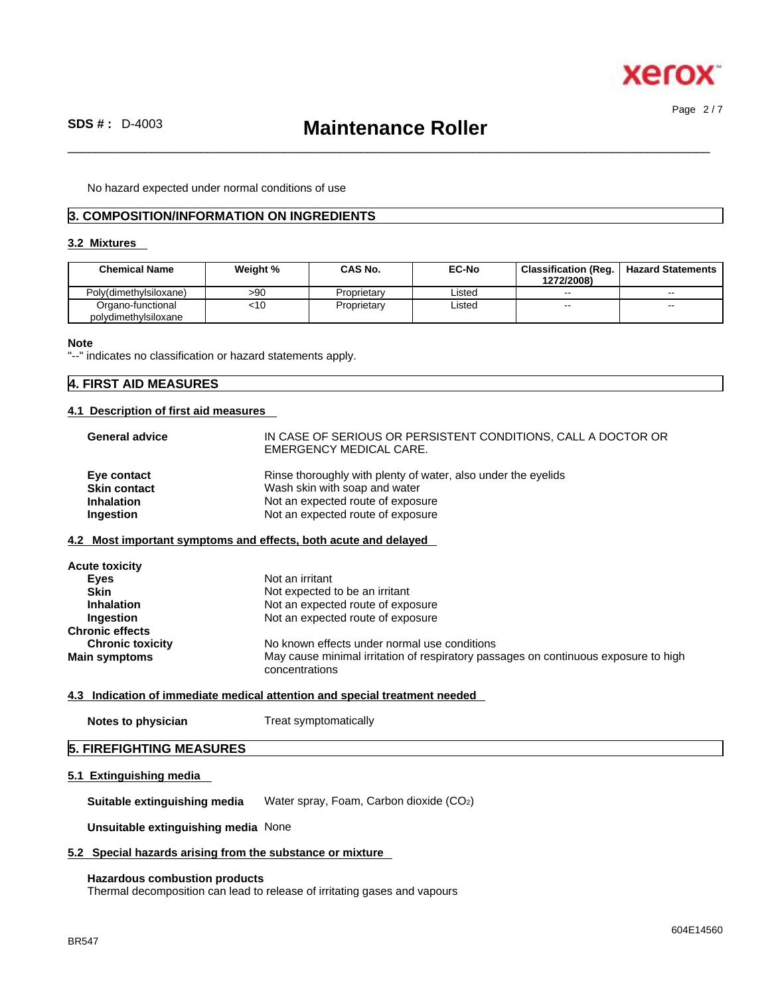

Page 2 / 7

 $\_$  ,  $\_$  ,  $\_$  ,  $\_$  ,  $\_$  ,  $\_$  ,  $\_$  ,  $\_$  ,  $\_$  ,  $\_$  ,  $\_$  ,  $\_$  ,  $\_$  ,  $\_$  ,  $\_$  ,  $\_$  ,  $\_$  ,  $\_$  ,  $\_$  ,  $\_$  ,  $\_$  ,  $\_$  ,  $\_$  ,  $\_$  ,  $\_$  ,  $\_$  ,  $\_$  ,  $\_$  ,  $\_$  ,  $\_$  ,  $\_$  ,  $\_$  ,  $\_$  ,  $\_$  ,  $\_$  ,  $\_$  ,  $\_$  ,

No hazard expected under normal conditions of use

# **3. COMPOSITION/INFORMATION ON INGREDIENTS**

# **3.2 Mixtures**

| <b>Chemical Name</b>                      | Weight % | <b>CAS No.</b> | <b>EC-No</b> | <b>Classification (Reg.</b><br>1272/2008) | <b>Hazard Statements</b> |
|-------------------------------------------|----------|----------------|--------------|-------------------------------------------|--------------------------|
| Poly(dimethylsiloxane)                    | >90      | Proprietary    | _isted       | $\sim$                                    | --                       |
| Organo-functional<br>polydimethylsiloxane | <10      | Proprietary    | _isted       | $-$                                       | --                       |

#### **Note**

"--" indicates no classification or hazard statements apply.

# **4. FIRST AID MEASURES**

#### **4.1 Description of first aid measures**

| <b>General advice</b> | IN CASE OF SERIOUS OR PERSISTENT CONDITIONS, CALL A DOCTOR OR<br>EMERGENCY MEDICAL CARE. |
|-----------------------|------------------------------------------------------------------------------------------|
| Eye contact           | Rinse thoroughly with plenty of water, also under the eyelids                            |
| <b>Skin contact</b>   | Wash skin with soap and water                                                            |
| <b>Inhalation</b>     | Not an expected route of exposure                                                        |
| Ingestion             | Not an expected route of exposure                                                        |

# **4.2 Most important symptoms and effects, both acute and delayed**

| <b>Acute toxicity</b>   |                                                                                                       |
|-------------------------|-------------------------------------------------------------------------------------------------------|
| Eyes                    | Not an irritant                                                                                       |
| <b>Skin</b>             | Not expected to be an irritant                                                                        |
| <b>Inhalation</b>       | Not an expected route of exposure                                                                     |
| Ingestion               | Not an expected route of exposure                                                                     |
| <b>Chronic effects</b>  |                                                                                                       |
| <b>Chronic toxicity</b> | No known effects under normal use conditions                                                          |
| <b>Main symptoms</b>    | May cause minimal irritation of respiratory passages on continuous exposure to high<br>concentrations |

## **4.3 Indication of immediate medical attention and special treatment needed**

| <b>Notes to physician</b> | Treat symptomatically |
|---------------------------|-----------------------|
|                           |                       |

# **5. FIREFIGHTING MEASURES**

#### **5.1 Extinguishing media**

**Suitable extinguishing media** Water spray, Foam, Carbon dioxide (CO2)

**Unsuitable extinguishing media** None

#### **5.2 Special hazards arising from the substance or mixture**

#### **Hazardous combustion products**

Thermal decomposition can lead to release of irritating gases and vapours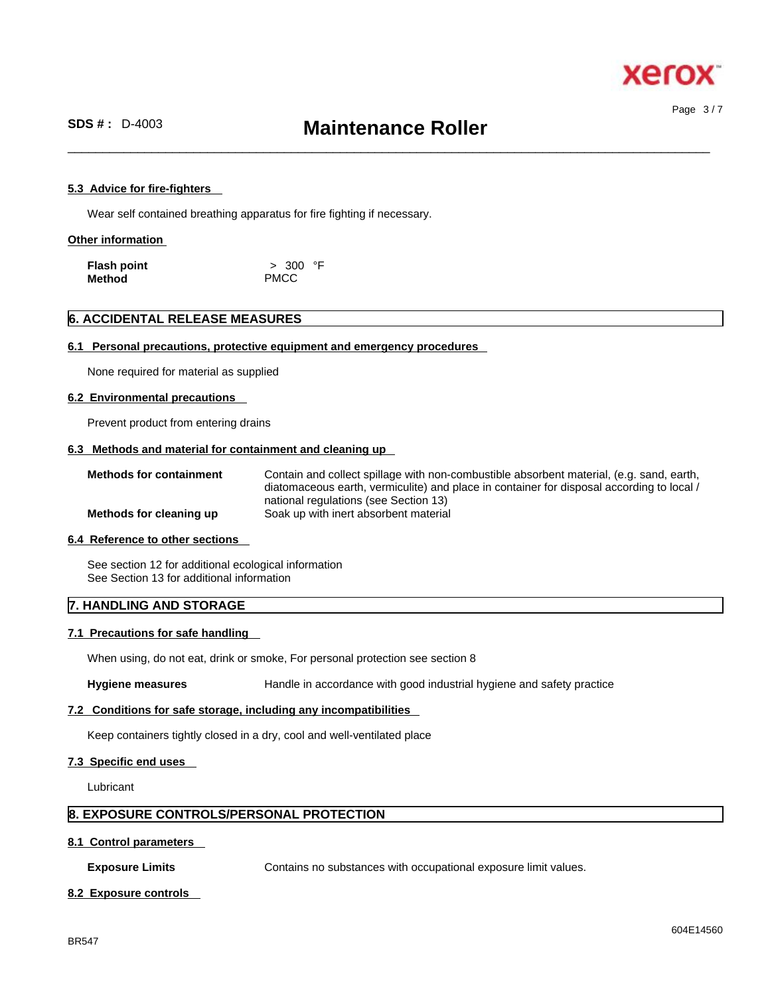

 $\_$  ,  $\_$  ,  $\_$  ,  $\_$  ,  $\_$  ,  $\_$  ,  $\_$  ,  $\_$  ,  $\_$  ,  $\_$  ,  $\_$  ,  $\_$  ,  $\_$  ,  $\_$  ,  $\_$  ,  $\_$  ,  $\_$  ,  $\_$  ,  $\_$  ,  $\_$  ,  $\_$  ,  $\_$  ,  $\_$  ,  $\_$  ,  $\_$  ,  $\_$  ,  $\_$  ,  $\_$  ,  $\_$  ,  $\_$  ,  $\_$  ,  $\_$  ,  $\_$  ,  $\_$  ,  $\_$  ,  $\_$  ,  $\_$  ,

#### **5.3 Advice for fire-fighters**

Wear self contained breathing apparatus for fire fighting if necessary.

#### **Other information**

| <b>Flash point</b> | > 300 °F    |
|--------------------|-------------|
| Method             | <b>PMCC</b> |

# **6. ACCIDENTAL RELEASE MEASURES**

#### **6.1 Personal precautions, protective equipment and emergency procedures**

None required for material as supplied

#### **6.2 Environmental precautions**

Prevent product from entering drains

# **6.3 Methods and material for containment and cleaning up**

| <b>Methods for containment</b> | Contain and collect spillage with non-combustible absorbent material, (e.g. sand, earth,  |
|--------------------------------|-------------------------------------------------------------------------------------------|
|                                | diatomaceous earth, vermiculite) and place in container for disposal according to local / |
|                                | national regulations (see Section 13)                                                     |
| Methods for cleaning up        | Soak up with inert absorbent material                                                     |

#### **6.4 Reference to other sections**

See section 12 for additional ecological information See Section 13 for additional information

# **7. HANDLING AND STORAGE**

#### **7.1 Precautions for safe handling**

When using, do not eat, drink or smoke, For personal protection see section 8

Hygiene measures **Handle** in accordance with good industrial hygiene and safety practice

#### **7.2 Conditions for safe storage, including any incompatibilities**

Keep containers tightly closed in a dry, cool and well-ventilated place

#### **7.3 Specific end uses**

Lubricant

# **8. EXPOSURE CONTROLS/PERSONAL PROTECTION**

#### **8.1 Control parameters**

**Exposure Limits** Contains no substances with occupational exposure limit values.

#### **8.2 Exposure controls**

Page 3 / 7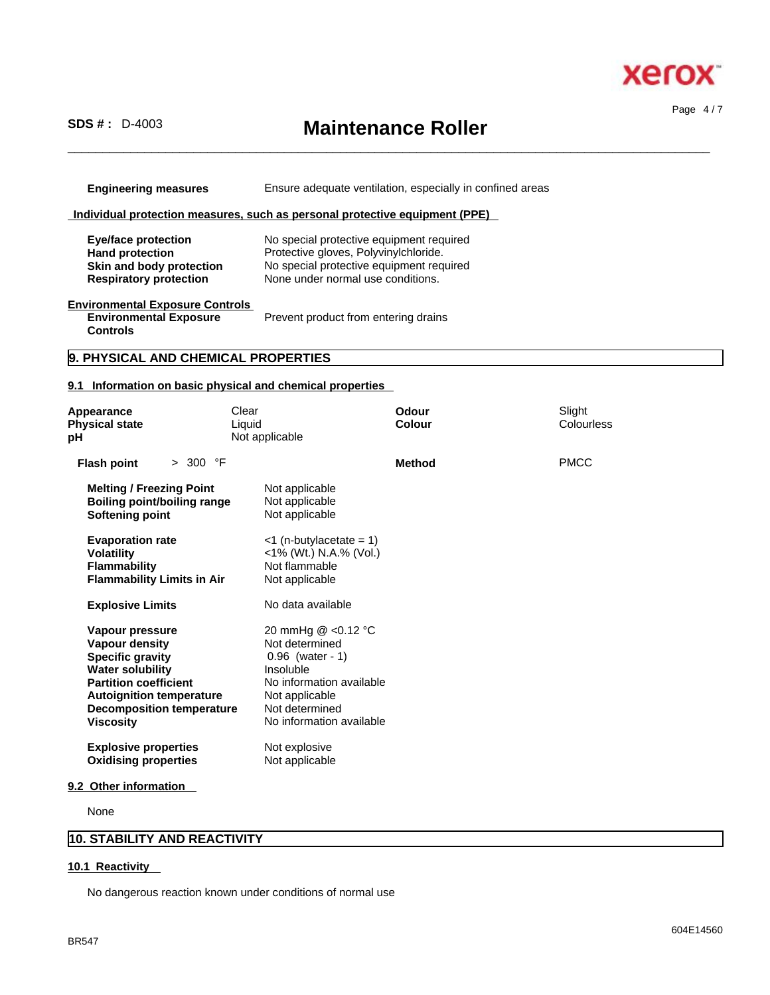

Page 4 / 7

# **SDS # :** D-4003 **Maintenance Roller**

 $\_$  ,  $\_$  ,  $\_$  ,  $\_$  ,  $\_$  ,  $\_$  ,  $\_$  ,  $\_$  ,  $\_$  ,  $\_$  ,  $\_$  ,  $\_$  ,  $\_$  ,  $\_$  ,  $\_$  ,  $\_$  ,  $\_$  ,  $\_$  ,  $\_$  ,  $\_$  ,  $\_$  ,  $\_$  ,  $\_$  ,  $\_$  ,  $\_$  ,  $\_$  ,  $\_$  ,  $\_$  ,  $\_$  ,  $\_$  ,  $\_$  ,  $\_$  ,  $\_$  ,  $\_$  ,  $\_$  ,  $\_$  ,  $\_$  ,

**Engineering measures** Ensure adequate ventilation, especially in confined areas

# **Individual protection measures, such as personal protective equipment (PPE)**

| Eye/face protection           | No special protective equipment required |
|-------------------------------|------------------------------------------|
| <b>Hand protection</b>        | Protective gloves, Polyvinylchloride.    |
| Skin and body protection      | No special protective equipment required |
| <b>Respiratory protection</b> | None under normal use conditions.        |

# **Environmental Exposure Controls**

**Environmental Exposure Controls**  Prevent product from entering drains

# **9. PHYSICAL AND CHEMICAL PROPERTIES**

# **9.1 Information on basic physical and chemical properties**

| Appearance<br><b>Physical state</b><br>рH                                                                                                                                                                                 | Clear<br>Liquid<br>Not applicable                                                                                                                                   | Odour<br>Colour | Slight<br>Colourless |
|---------------------------------------------------------------------------------------------------------------------------------------------------------------------------------------------------------------------------|---------------------------------------------------------------------------------------------------------------------------------------------------------------------|-----------------|----------------------|
| <b>Flash point</b><br>> 300 °F                                                                                                                                                                                            |                                                                                                                                                                     | <b>Method</b>   | <b>PMCC</b>          |
| <b>Melting / Freezing Point</b><br><b>Boiling point/boiling range</b><br>Softening point                                                                                                                                  | Not applicable<br>Not applicable<br>Not applicable                                                                                                                  |                 |                      |
| <b>Evaporation rate</b><br><b>Volatility</b><br><b>Flammability</b><br><b>Flammability Limits in Air</b>                                                                                                                  | $<$ 1 (n-butylacetate = 1)<br><1% (Wt.) N.A.% (Vol.)<br>Not flammable<br>Not applicable                                                                             |                 |                      |
| <b>Explosive Limits</b>                                                                                                                                                                                                   | No data available                                                                                                                                                   |                 |                      |
| Vapour pressure<br><b>Vapour density</b><br><b>Specific gravity</b><br><b>Water solubility</b><br><b>Partition coefficient</b><br><b>Autoignition temperature</b><br><b>Decomposition temperature</b><br><b>Viscosity</b> | 20 mmHg @ <0.12 °C<br>Not determined<br>$0.96$ (water - 1)<br>Insoluble<br>No information available<br>Not applicable<br>Not determined<br>No information available |                 |                      |
| <b>Explosive properties</b><br><b>Oxidising properties</b>                                                                                                                                                                | Not explosive<br>Not applicable                                                                                                                                     |                 |                      |
| 9.2 Other information                                                                                                                                                                                                     |                                                                                                                                                                     |                 |                      |

None

# **10. STABILITY AND REACTIVITY**

#### **10.1 Reactivity**

No dangerous reaction known under conditions of normal use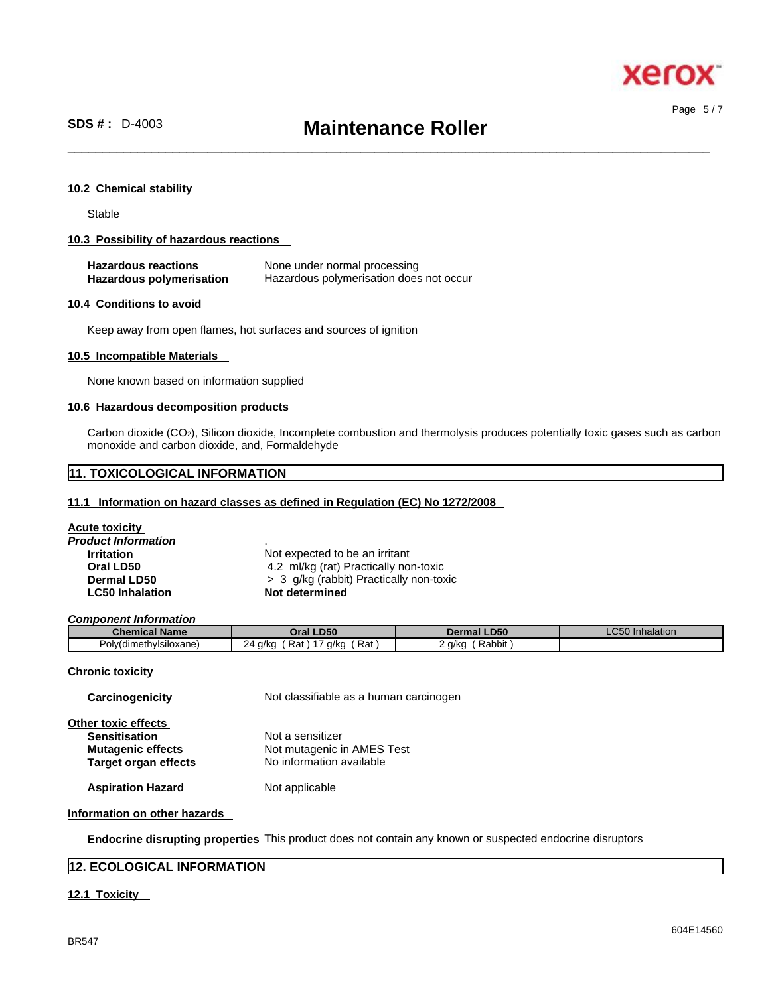

Page 5 / 7

 $\_$  ,  $\_$  ,  $\_$  ,  $\_$  ,  $\_$  ,  $\_$  ,  $\_$  ,  $\_$  ,  $\_$  ,  $\_$  ,  $\_$  ,  $\_$  ,  $\_$  ,  $\_$  ,  $\_$  ,  $\_$  ,  $\_$  ,  $\_$  ,  $\_$  ,  $\_$  ,  $\_$  ,  $\_$  ,  $\_$  ,  $\_$  ,  $\_$  ,  $\_$  ,  $\_$  ,  $\_$  ,  $\_$  ,  $\_$  ,  $\_$  ,  $\_$  ,  $\_$  ,  $\_$  ,  $\_$  ,  $\_$  ,  $\_$  ,

#### **10.2 Chemical stability**

Stable

#### **10.3 Possibility of hazardous reactions**

| <b>Hazardous reactions</b> | None under normal processing            |
|----------------------------|-----------------------------------------|
| Hazardous polymerisation   | Hazardous polymerisation does not occur |

#### **10.4 Conditions to avoid**

Keep away from open flames, hot surfaces and sources of ignition

#### **10.5 Incompatible Materials**

None known based on information supplied

#### **10.6 Hazardous decomposition products**

Carbon dioxide (CO2), Silicon dioxide, Incomplete combustion and thermolysis produces potentially toxic gases such as carbon monoxide and carbon dioxide, and, Formaldehyde

# **11. TOXICOLOGICAL INFORMATION**

#### **11.1 Information on hazard classes as defined in Regulation (EC) No 1272/2008**

| <b>Acute toxicity</b>  |                                         |
|------------------------|-----------------------------------------|
| Product Information    |                                         |
| <b>Irritation</b>      | Not expected to be an irritant          |
| Oral LD50              | 4.2 ml/kg (rat) Practically non-toxic   |
| Dermal LD50            | > 3 g/kg (rabbit) Practically non-toxic |
| <b>LC50 Inhalation</b> | Not determined                          |

*Component Information* 

| Chemical<br>ำl Name ⊹         | <b>LD50</b><br>$-1$ rol $-$                                                                                | <b>Dermal LD50</b>                                        | $\sim$ $\sim$<br><b>Inhalation</b><br>_COU |
|-------------------------------|------------------------------------------------------------------------------------------------------------|-----------------------------------------------------------|--------------------------------------------|
| . .<br>Poly(dimethylsiloxane) | Rat<br>$\overline{\phantom{a}}$<br>24<br>Rat<br>a/ko<br>a/ka<br>$\sim$<br>. .<br>$\cdot$ $\cdot$<br>$\sim$ | $\cdots$<br>Rabbit<br>q/kq<br>$\sim$ $\sim$ $\sim$<br>. . |                                            |

#### **Chronic toxicity**

| Carcinogenicity             | Not classifiable as a human carcinogen |
|-----------------------------|----------------------------------------|
| Other toxic effects         |                                        |
| <b>Sensitisation</b>        | Not a sensitizer                       |
| <b>Mutagenic effects</b>    | Not mutagenic in AMES Test             |
| <b>Target organ effects</b> | No information available               |
|                             |                                        |

**Aspiration Hazard** Not applicable

#### **Information on other hazards**

**Endocrine disrupting properties** This product does not contain any known or suspected endocrine disruptors

# **12. ECOLOGICAL INFORMATION**

# **12.1 Toxicity**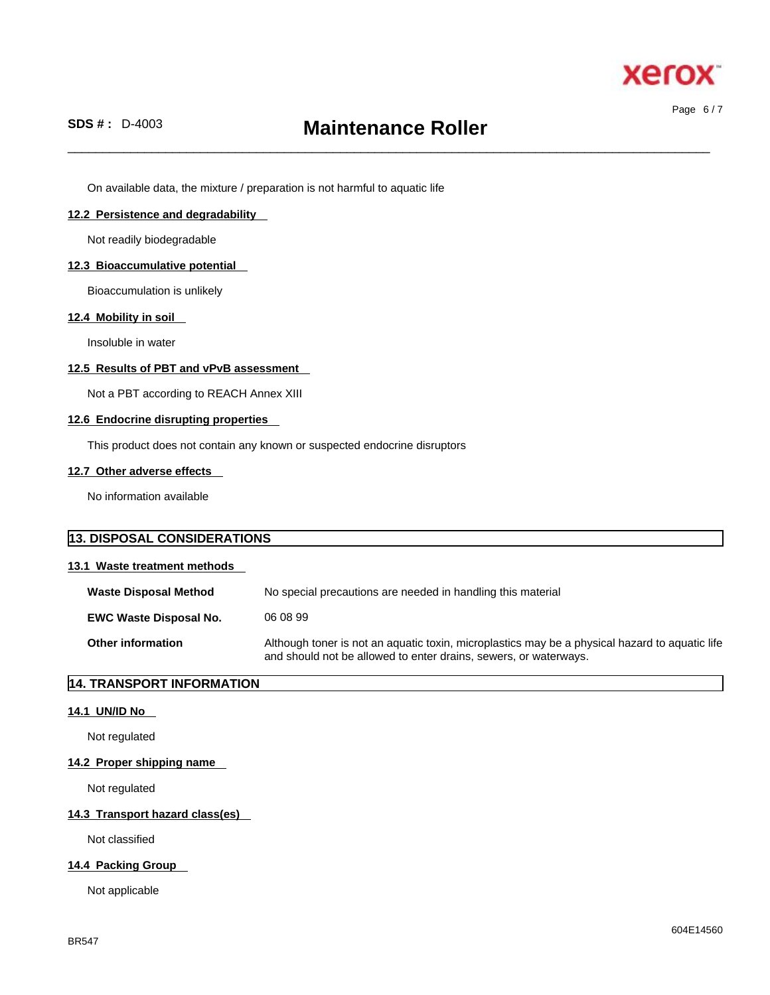

Page 6 / 7

 $\_$  ,  $\_$  ,  $\_$  ,  $\_$  ,  $\_$  ,  $\_$  ,  $\_$  ,  $\_$  ,  $\_$  ,  $\_$  ,  $\_$  ,  $\_$  ,  $\_$  ,  $\_$  ,  $\_$  ,  $\_$  ,  $\_$  ,  $\_$  ,  $\_$  ,  $\_$  ,  $\_$  ,  $\_$  ,  $\_$  ,  $\_$  ,  $\_$  ,  $\_$  ,  $\_$  ,  $\_$  ,  $\_$  ,  $\_$  ,  $\_$  ,  $\_$  ,  $\_$  ,  $\_$  ,  $\_$  ,  $\_$  ,  $\_$  ,

On available data, the mixture / preparation is not harmful to aquatic life

# **12.2 Persistence and degradability**

Not readily biodegradable

## **12.3 Bioaccumulative potential**

Bioaccumulation is unlikely

# **12.4 Mobility in soil**

Insoluble in water

## **12.5 Results of PBT and vPvB assessment**

Not a PBT according to REACH Annex XIII

#### **12.6 Endocrine disrupting properties**

This product does not contain any known or suspected endocrine disruptors

# **12.7 Other adverse effects**

No information available

| <b>13. DISPOSAL CONSIDERATIONS</b> |                                                                                                                                                                    |
|------------------------------------|--------------------------------------------------------------------------------------------------------------------------------------------------------------------|
| 13.1 Waste treatment methods       |                                                                                                                                                                    |
| <b>Waste Disposal Method</b>       | No special precautions are needed in handling this material                                                                                                        |
| <b>EWC Waste Disposal No.</b>      | 06.08.99                                                                                                                                                           |
| <b>Other information</b>           | Although toner is not an aquatic toxin, microplastics may be a physical hazard to aquatic life<br>and should not be allowed to enter drains, sewers, or waterways. |

# **14. TRANSPORT INFORMATION**

# **14.1 UN/ID No**

Not regulated

#### **14.2 Proper shipping name**

Not regulated

# **14.3 Transport hazard class(es)**

Not classified

# **14.4 Packing Group**

Not applicable